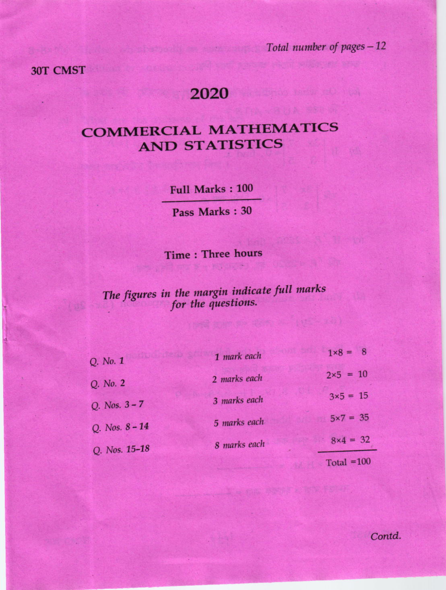Total number of pages - 12

30T CMST

## 2020

## **COMMERCIAL MATHEMATICS AND STATISTICS**

**Full Marks: 100** 

Pass Marks: 30

Time: Three hours

## The figures in the margin indicate full marks for the questions.

| Q. No. 1         | 1 mark each  | $1 \times 8 = 8$  |
|------------------|--------------|-------------------|
| Q. No. 2         | 2 marks each | $2 \times 5 = 10$ |
| Q. Nos. $3 - 7$  | 3 marks each | $3\times5 = 15$   |
| Q. Nos. $8 - 14$ | 5 marks each | $5x7 = 35$        |
| Q. Nos. 15-18    | 8 marks each | $8\times 4 = 32$  |
|                  |              | Total $=100$      |

Contd.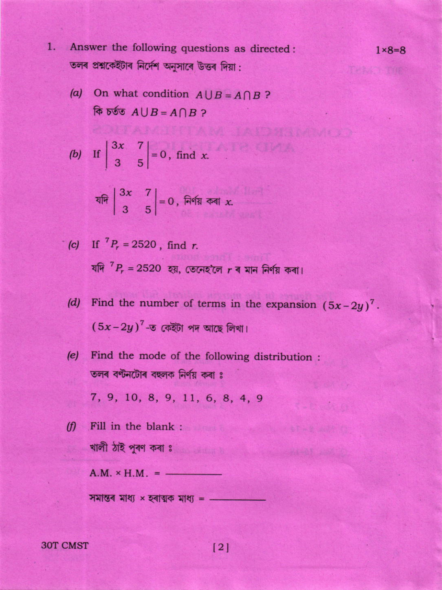- 1. Answer the following questions as directed: তলৰ প্ৰশ্নকেইটাৰ নিৰ্দেশ অনুসাৰে উত্তৰ দিয়া:
	- (a) On what condition  $A \cup B = A \cap B$ ? কি চৰ্তত  $A \cup B = A \cap B$  ?

$$
(b) \quad \text{If } \begin{vmatrix} 3x & 7 \\ 3 & 5 \end{vmatrix} = 0, \text{ find } x.
$$

$$
\begin{vmatrix} 3x & 7 \ 3 & 5 \end{vmatrix} = 0
$$
,  $\overline{P}$  and  $\overline{P}$  are the same as  $x$ .

(c) If 
$$
P_r = 2520
$$
, find r.  
यनि  ${}^7P_r = 2520$  हয়, তেনেহ'লে r ৰ মান নিৰ্ণয় কৰা

- Find the number of terms in the expansion  $(5x-2y)^7$ .  $(d)$  $(5x-2y)^7$ -ত কেইটা পদ আছে লিখা।
- Find the mode of the following distribution :  $(e)$ তলৰ বণ্টনটোৰ বহুলক নিৰ্ণয় কৰা ঃ

7, 9, 10, 8, 9, 11, 6, 8, 4, 9

( $f$ ) Fill in the blank : খালী ঠাই পুৰণ কৰা ঃ

 $A.M. * H.M. = -$ 

সমান্তৰ মাধ্য  $\times$  হৰাত্মক মাধ্য =  $-$ 

**30T CMST** 

 $\lceil 2 \rceil$ 

 $1 \times 8 = 8$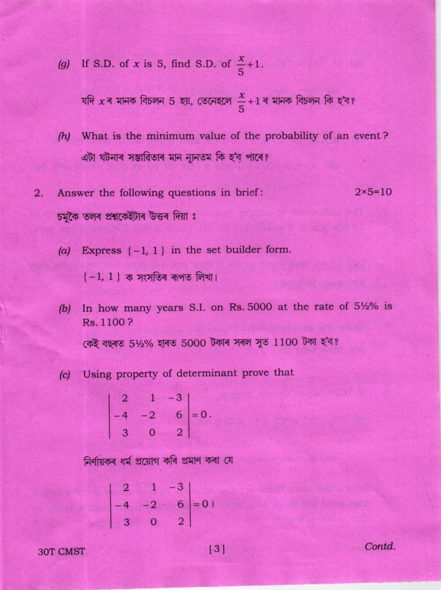If S.D. of x is 5, find S.D. of  $\frac{x}{5}+1$ .  $(g)$ 

যদি x ৰ মানক বিচলন 5 হয়, তেনেহলে  $\frac{x}{5}+1$  ৰ মানক বিচলন কি হ'ব?

- What is the minimum value of the probability of an event?  $(h)$ এটা ঘটনাৰ সম্ভাৱিতাৰ মান ন্যূনতম কি হ'ব পাৰে?
- Answer the following questions in brief:  $2 \times 5 = 10$  $2.$ চমকৈ তলৰ প্ৰশ্নকেইটাৰ উত্তৰ দিয়া ঃ
	- Express  $\{-1, 1\}$  in the set builder form.  $(a)$

 $\{-1, 1\}$  ক সংসতিৰ ৰূপত লিখা।

- In how many years S.I. on Rs. 5000 at the rate of 5½% is  $(b)$ Rs. 1100? কেই বছৰত 5½% হাৰত 5000 টকাৰ সৰল সুত 1100 টকা হ'ব?
- Using property of determinant prove that  $|c|$

 $\begin{vmatrix} 2 & 1 & 0 \\ -4 & -2 & 6 \\ 3 & 0 & 2 \end{vmatrix} = 0.$ 

নিৰ্ণায়কৰ ধৰ্ম প্ৰয়োগ কৰি প্ৰমাণ কৰা যে

$$
\begin{vmatrix} 2 & 1 & -3 \\ -4 & -2 & 6 \\ 3 & 0 & 2 \end{vmatrix} = 0 +
$$

**30T CMST** 

Contd.